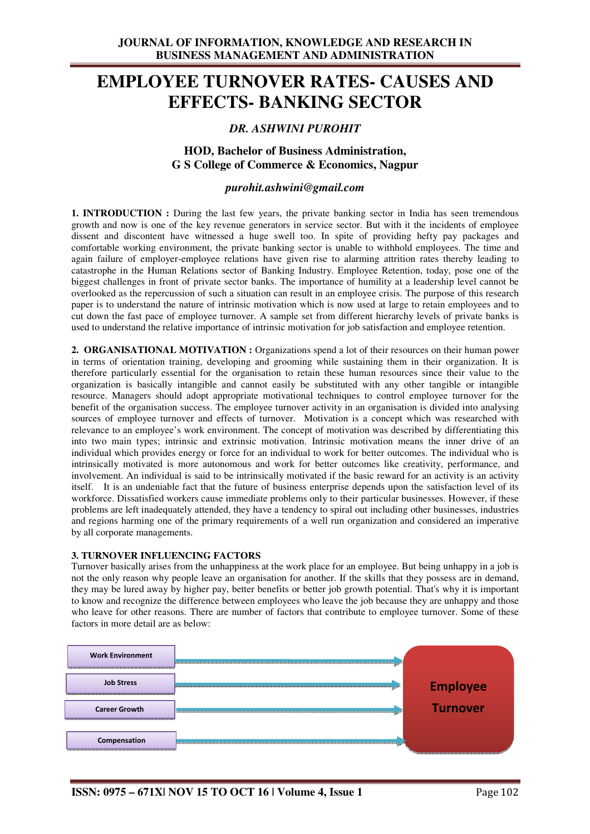# **EMPLOYEE TURNOVER RATES- CAUSES AND EFFECTS- BANKING SECTOR**

# *DR. ASHWINI PUROHIT*

### **HOD, Bachelor of Business Administration, G S College of Commerce & Economics, Nagpur**

### *purohit.ashwini@gmail.com*

**1. INTRODUCTION :** During the last few years, the private banking sector in India has seen tremendous growth and now is one of the key revenue generators in service sector. But with it the incidents of employee dissent and discontent have witnessed a huge swell too. In spite of providing hefty pay packages and comfortable working environment, the private banking sector is unable to withhold employees. The time and again failure of employer-employee relations have given rise to alarming attrition rates thereby leading to catastrophe in the Human Relations sector of Banking Industry. Employee Retention, today, pose one of the biggest challenges in front of private sector banks. The importance of humility at a leadership level cannot be overlooked as the repercussion of such a situation can result in an employee crisis. The purpose of this research paper is to understand the nature of intrinsic motivation which is now used at large to retain employees and to cut down the fast pace of employee turnover. A sample set from different hierarchy levels of private banks is used to understand the relative importance of intrinsic motivation for job satisfaction and employee retention.

**2. ORGANISATIONAL MOTIVATION :** Organizations spend a lot of their resources on their human power in terms of orientation training, developing and grooming while sustaining them in their organization. It is therefore particularly essential for the organisation to retain these human resources since their value to the organization is basically intangible and cannot easily be substituted with any other tangible or intangible resource. Managers should adopt appropriate motivational techniques to control employee turnover for the benefit of the organisation success. The employee turnover activity in an organisation is divided into analysing sources of employee turnover and effects of turnover. Motivation is a concept which was researched with relevance to an employee's work environment. The concept of motivation was described by differentiating this into two main types; intrinsic and extrinsic motivation. Intrinsic motivation means the inner drive of an individual which provides energy or force for an individual to work for better outcomes. The individual who is intrinsically motivated is more autonomous and work for better outcomes like creativity, performance, and involvement. An individual is said to be intrinsically motivated if the basic reward for an activity is an activity itself. It is an undeniable fact that the future of business enterprise depends upon the satisfaction level of its workforce. Dissatisfied workers cause immediate problems only to their particular businesses. However, if these problems are left inadequately attended, they have a tendency to spiral out including other businesses, industries and regions harming one of the primary requirements of a well run organization and considered an imperative by all corporate managements.

#### **3. TURNOVER INFLUENCING FACTORS**

Turnover basically arises from the unhappiness at the work place for an employee. But being unhappy in a job is not the only reason why people leave an organisation for another. If the skills that they possess are in demand, they may be lured away by higher pay, better benefits or better job growth potential. That's why it is important to know and recognize the difference between employees who leave the job because they are unhappy and those who leave for other reasons. There are number of factors that contribute to employee turnover. Some of these factors in more detail are as below:

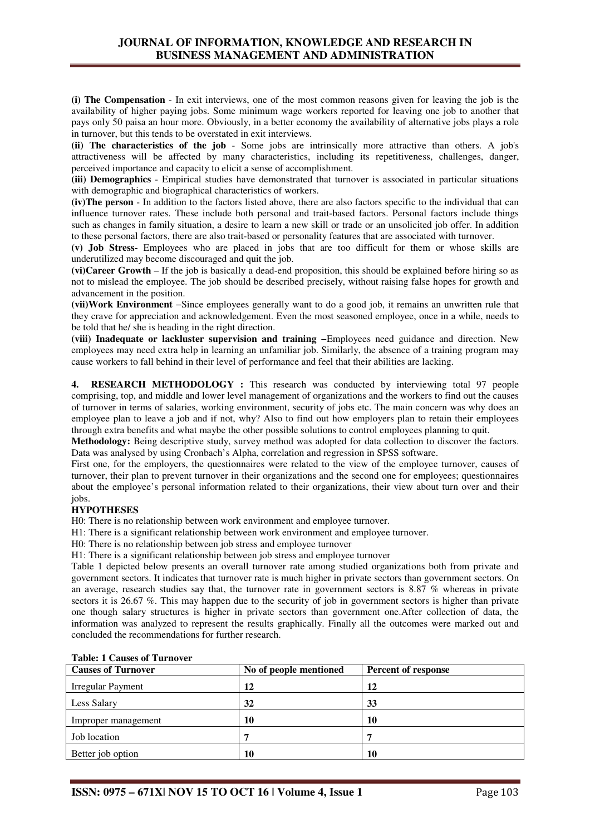**(i) The Compensation** - In exit interviews, one of the most common reasons given for leaving the job is the availability of higher paying jobs. Some minimum wage workers reported for leaving one job to another that pays only 50 paisa an hour more. Obviously, in a better economy the availability of alternative jobs plays a role in turnover, but this tends to be overstated in exit interviews.

**(ii) The characteristics of the job** - Some jobs are intrinsically more attractive than others. A job's attractiveness will be affected by many characteristics, including its repetitiveness, challenges, danger, perceived importance and capacity to elicit a sense of accomplishment.

**(iii) Demographics** - Empirical studies have demonstrated that turnover is associated in particular situations with demographic and biographical characteristics of workers.

**(iv)The person** - In addition to the factors listed above, there are also factors specific to the individual that can influence turnover rates. These include both personal and trait-based factors. Personal factors include things such as changes in family situation, a desire to learn a new skill or trade or an unsolicited job offer. In addition to these personal factors, there are also trait-based or personality features that are associated with turnover.

**(v) Job Stress-** Employees who are placed in jobs that are too difficult for them or whose skills are underutilized may become discouraged and quit the job.

**(vi)Career Growth** – If the job is basically a dead-end proposition, this should be explained before hiring so as not to mislead the employee. The job should be described precisely, without raising false hopes for growth and advancement in the position.

**(vii)Work Environment** −Since employees generally want to do a good job, it remains an unwritten rule that they crave for appreciation and acknowledgement. Even the most seasoned employee, once in a while, needs to be told that he/ she is heading in the right direction.

**(viii) Inadequate or lackluster supervision and training** −Employees need guidance and direction. New employees may need extra help in learning an unfamiliar job. Similarly, the absence of a training program may cause workers to fall behind in their level of performance and feel that their abilities are lacking.

**4. RESEARCH METHODOLOGY :** This research was conducted by interviewing total 97 people comprising, top, and middle and lower level management of organizations and the workers to find out the causes of turnover in terms of salaries, working environment, security of jobs etc. The main concern was why does an employee plan to leave a job and if not, why? Also to find out how employers plan to retain their employees through extra benefits and what maybe the other possible solutions to control employees planning to quit.

**Methodology:** Being descriptive study, survey method was adopted for data collection to discover the factors. Data was analysed by using Cronbach's Alpha, correlation and regression in SPSS software.

First one, for the employers, the questionnaires were related to the view of the employee turnover, causes of turnover, their plan to prevent turnover in their organizations and the second one for employees; questionnaires about the employee's personal information related to their organizations, their view about turn over and their jobs.

### **HYPOTHESES**

H0: There is no relationship between work environment and employee turnover.

H1: There is a significant relationship between work environment and employee turnover.

H0: There is no relationship between job stress and employee turnover

H1: There is a significant relationship between job stress and employee turnover

Table 1 depicted below presents an overall turnover rate among studied organizations both from private and government sectors. It indicates that turnover rate is much higher in private sectors than government sectors. On an average, research studies say that, the turnover rate in government sectors is 8.87 % whereas in private sectors it is 26.67 %. This may happen due to the security of job in government sectors is higher than private one though salary structures is higher in private sectors than government one.After collection of data, the information was analyzed to represent the results graphically. Finally all the outcomes were marked out and concluded the recommendations for further research.

| <b>Causes of Turnover</b> | No of people mentioned | <b>Percent of response</b> |  |
|---------------------------|------------------------|----------------------------|--|
| <b>Irregular Payment</b>  | 12                     | 12                         |  |
| Less Salary               | 32                     | 33                         |  |
| Improper management       | 10                     | 10                         |  |
| Job location              |                        | −                          |  |
| Better job option         | 10                     | 10                         |  |

### **Table: 1 Causes of Turnover**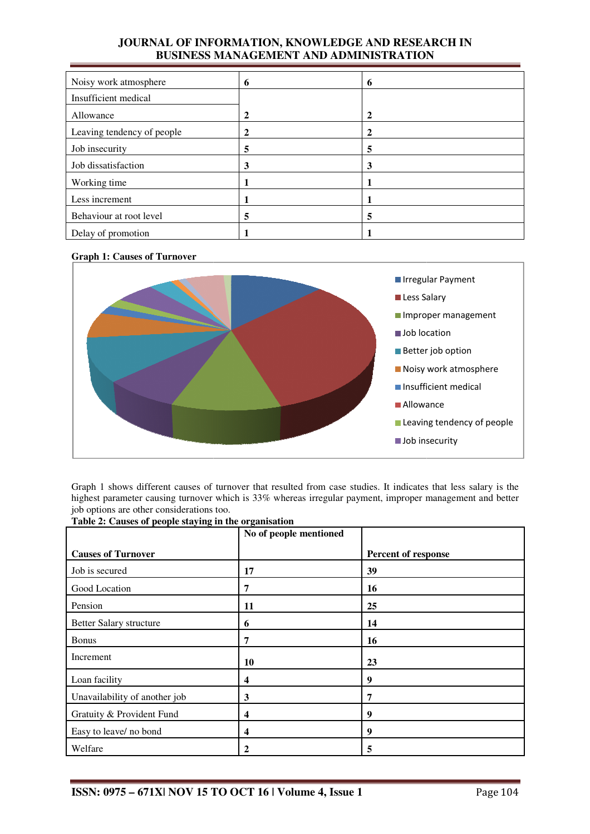# **JOURNAL OF INFORMATION, KNOWLEDGE AND RESEARCH IN BUSINESS MANAGEMENT AND ADMINISTRATION**

| Noisy work atmosphere      | 6 | 6            |
|----------------------------|---|--------------|
| Insufficient medical       |   |              |
| Allowance                  | 2 | $\mathbf{2}$ |
| Leaving tendency of people |   |              |
| Job insecurity             | 5 | 5            |
| Job dissatisfaction        | 3 | 3            |
| Working time               |   |              |
| Less increment             |   |              |
| Behaviour at root level    | 5 | 5            |
| Delay of promotion         |   |              |

### **Graph 1: Causes of Turnover**



Graph 1 shows different causes of turnover that resulted from case studies. It indicates that less salary is the highest parameter causing turnover which is 33% whereas irregular payment, improper management and better job options are other considerations too.

|                               | No of people mentioned |                     |
|-------------------------------|------------------------|---------------------|
| <b>Causes of Turnover</b>     |                        | Percent of response |
| Job is secured                | 17                     | 39                  |
| Good Location                 | 7                      | 16                  |
| Pension                       | 11                     | 25                  |
| Better Salary structure       | 6                      | 14                  |
| <b>Bonus</b>                  | 7                      | 16                  |
| Increment                     | 10                     | 23                  |
| Loan facility                 | 4                      | 9                   |
| Unavailability of another job | 3                      | 7                   |
| Gratuity & Provident Fund     | 4                      | 9                   |
| Easy to leave/ no bond        | 4                      | 9                   |
| Welfare                       | $\mathbf{2}$           | 5                   |

**Table 2: Causes of people staying in the organisation**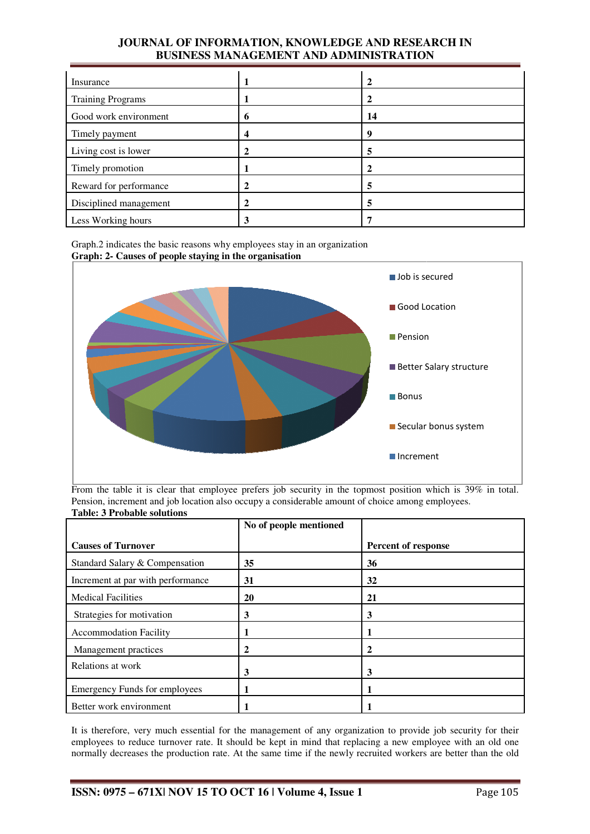# **JOURNAL OF INFORMATION, KNOWLEDGE AND RESEARCH IN BUSINESS MANAGEMENT AND ADMINISTRATION**

| Insurance                |   | 2  |
|--------------------------|---|----|
| <b>Training Programs</b> |   |    |
| Good work environment    | 0 | 14 |
| Timely payment           | 4 | 9  |
| Living cost is lower     |   | 5  |
| Timely promotion         |   |    |
| Reward for performance   |   | 5  |
| Disciplined management   |   | 5  |
| Less Working hours       | 3 |    |

Graph.2 indicates the basic reasons why employees stay in an organization **Graph: 2- Causes of people staying in the organisation**



From the table it is clear that employee prefers job security in the topmost position which is 39% in total. Pension, increment and job location also occupy a considerable amount of choice among employees. **Table: 3 Probable solutions** 

|                                      | No of people mentioned |                            |
|--------------------------------------|------------------------|----------------------------|
| <b>Causes of Turnover</b>            |                        | <b>Percent of response</b> |
| Standard Salary & Compensation       | 35                     | 36                         |
| Increment at par with performance    | 31                     | 32                         |
| <b>Medical Facilities</b>            | 20                     | 21                         |
| Strategies for motivation            | 3                      | 3                          |
| <b>Accommodation Facility</b>        |                        |                            |
| Management practices                 | 2                      | 2                          |
| Relations at work                    | 3                      | 3                          |
| <b>Emergency Funds for employees</b> | п                      | п                          |
| Better work environment              |                        |                            |

It is therefore, very much essential for the management of any organization to provide job security for their employees to reduce turnover rate. It should be kept in mind that replacing a new employee with an old one normally decreases the production rate. At the same time if the newly recruited workers are better than the old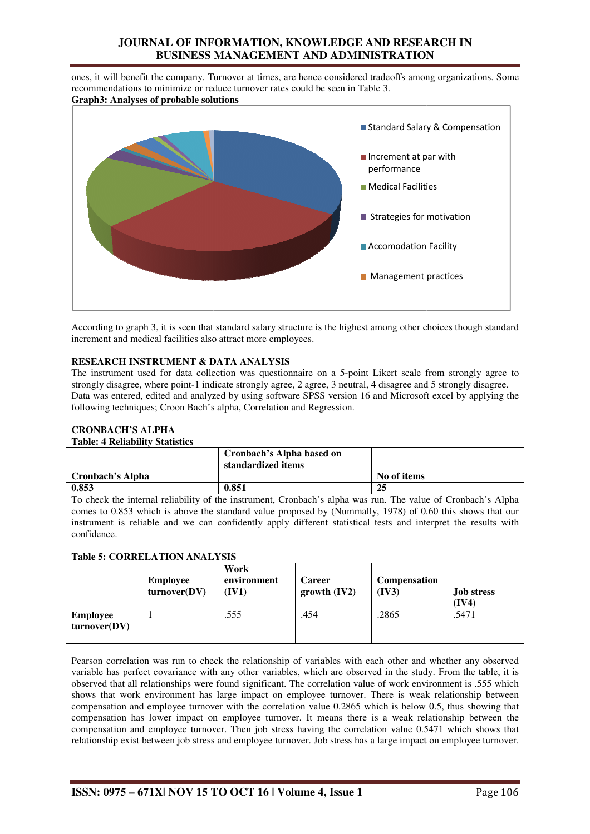# **JOURNAL OF INFORMATION, KNOWLEDGE AND RESEARCH IN BUSINESS MANAGEMENT AND ADMINISTRATION**

ones, it will benefit the company. Turnover at times, are hence considered tradeoffs among organizations. Some recommendations to minimize or reduce turnover rates could be seen in Table 3. **Graph3: Analyses of probable solutions**



According to graph 3, it is seen that standard salary structure is the highest among other choices though standard increment and medical facilities also attract more employees.

### **RESEARCH INSTRUMENT & DATA ANALYSIS**

The instrument used for data collection was questionnaire on a 5-point Likert scale from strongly agree to strongly disagree, where point-1 indicate strongly agree, 2 agree, 3 neutral, 4 disagree and 5 strongly disagree. strongly disagree, where point-1 indicate strongly agree, 2 agree, 3 neutral, 4 disagree and 5 strongly disagree.<br>Data was entered, edited and analyzed by using software SPSS version 16 and Microsoft excel by applying the following techniques; Croon Bach's alpha, Correlation and Regression.

### **CRONBACH'S ALPHA**

#### **Table: 4 Reliability Statistics**

|                  | Cronbach's Alpha based on<br>standardized items |             |
|------------------|-------------------------------------------------|-------------|
| Cronbach's Alpha |                                                 | No of items |
| 0.853            | 0.851                                           | 25          |

To check the internal reliability of the instrument, Cronbach's alpha was run. The value of Cronbach's Alpha comes to 0.853 which is above the standard value proposed by (Nummally, 1978) of 0.60 this shows that our instrument is reliable and we can confidently apply different statistical tests and interpret the results with confidence.

#### **Table 5: CORRELATION ANALYSIS**

|                                 | <b>Employee</b><br>turnover(DV) | Work<br>environment<br>(IV1) | <b>Career</b><br>growth (IV2) | <b>Compensation</b><br>(IV3) | <b>Job stress</b><br>(IV4) |
|---------------------------------|---------------------------------|------------------------------|-------------------------------|------------------------------|----------------------------|
| <b>Employee</b><br>turnover(DV) |                                 | .555                         | .454                          | .2865                        | .5471                      |

Pearson correlation was run to check the relationship of variables with each other and whether any observed variable has perfect covariance with any other variables, which are observed in the study. From the table, it is observed that all relationships were found significant. The correlation value of work environment is .555 which shows that work environment has large impact on employee turnover. There is weak relationship between compensation and employee turnover with the correlation value 0.2865 which is below 0.5, thus showing that compensation has lower impact on employee turnover. It means there is a weak relationship between the compensation and employee turnover. Then job stress having the correlation value 0.5471 which shows that relationship exist between job stress and employee turnover. Job stress has a large impact on employee turnover.